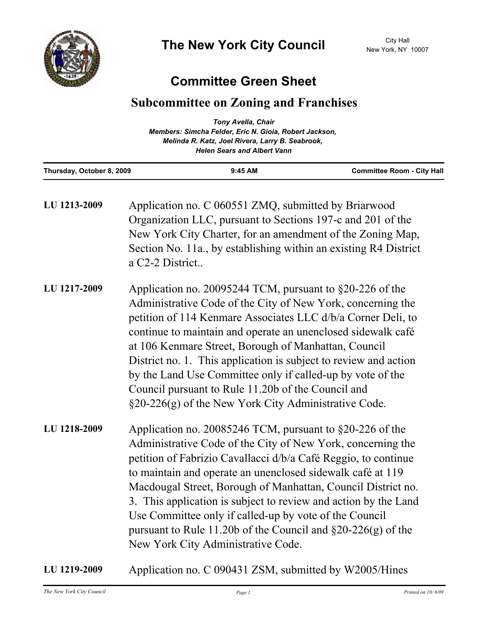## **Committee Green Sheet**

## **Subcommittee on Zoning and Franchises**

| Thursday, October 8, 2009 | $9:45$ AM                                              | <b>Committee Room - City Hall</b> |
|---------------------------|--------------------------------------------------------|-----------------------------------|
|                           | <b>Helen Sears and Albert Vann</b>                     |                                   |
|                           | Melinda R. Katz, Joel Rivera, Larry B. Seabrook,       |                                   |
|                           | Members: Simcha Felder, Eric N. Gioia, Robert Jackson, |                                   |
|                           | <b>Tony Avella, Chair</b>                              |                                   |

| LU 1213-2009 | Application no. C 060551 ZMQ, submitted by Briarwood<br>Organization LLC, pursuant to Sections 197-c and 201 of the<br>New York City Charter, for an amendment of the Zoning Map,<br>Section No. 11a., by establishing within an existing R4 District<br>a C <sub>2</sub> -2 District                                                                                                                                                                                                                                                                              |
|--------------|--------------------------------------------------------------------------------------------------------------------------------------------------------------------------------------------------------------------------------------------------------------------------------------------------------------------------------------------------------------------------------------------------------------------------------------------------------------------------------------------------------------------------------------------------------------------|
| LU 1217-2009 | Application no. 20095244 TCM, pursuant to $\S20-226$ of the<br>Administrative Code of the City of New York, concerning the<br>petition of 114 Kenmare Associates LLC d/b/a Corner Deli, to<br>continue to maintain and operate an unenclosed sidewalk café<br>at 106 Kenmare Street, Borough of Manhattan, Council<br>District no. 1. This application is subject to review and action<br>by the Land Use Committee only if called-up by vote of the<br>Council pursuant to Rule 11.20b of the Council and<br>§20-226(g) of the New York City Administrative Code. |
| LU 1218-2009 | Application no. 20085246 TCM, pursuant to §20-226 of the<br>Administrative Code of the City of New York, concerning the<br>petition of Fabrizio Cavallacci d/b/a Café Reggio, to continue<br>to maintain and operate an unenclosed sidewalk café at 119<br>Macdougal Street, Borough of Manhattan, Council District no.<br>3. This application is subject to review and action by the Land<br>Use Committee only if called-up by vote of the Council<br>pursuant to Rule 11.20b of the Council and $\S20-226(g)$ of the<br>New York City Administrative Code.      |

**LU 1219-2009** Application no. C 090431 ZSM, submitted by W2005/Hines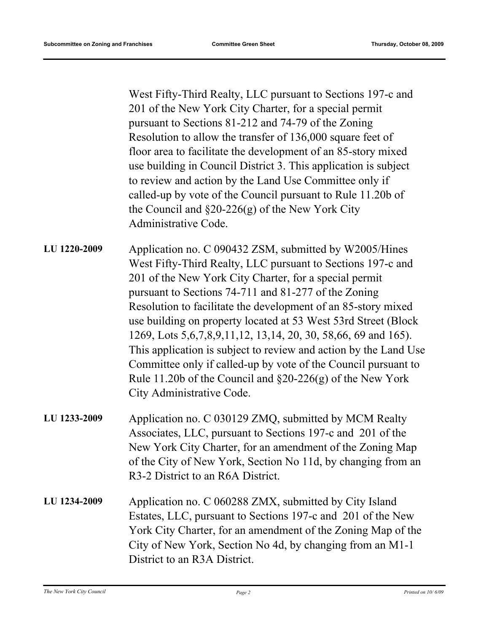West Fifty-Third Realty, LLC pursuant to Sections 197-c and 201 of the New York City Charter, for a special permit pursuant to Sections 81-212 and 74-79 of the Zoning Resolution to allow the transfer of 136,000 square feet of floor area to facilitate the development of an 85-story mixed use building in Council District 3. This application is subject to review and action by the Land Use Committee only if called-up by vote of the Council pursuant to Rule 11.20b of the Council and §20-226(g) of the New York City Administrative Code.

- Application no. C 090432 ZSM, submitted by W2005/Hines West Fifty-Third Realty, LLC pursuant to Sections 197-c and 201 of the New York City Charter, for a special permit pursuant to Sections 74-711 and 81-277 of the Zoning Resolution to facilitate the development of an 85-story mixed use building on property located at 53 West 53rd Street (Block 1269, Lots 5,6,7,8,9,11,12, 13,14, 20, 30, 58,66, 69 and 165). This application is subject to review and action by the Land Use Committee only if called-up by vote of the Council pursuant to Rule 11.20b of the Council and §20-226(g) of the New York City Administrative Code. **LU 1220-2009**
- Application no. C 030129 ZMQ, submitted by MCM Realty Associates, LLC, pursuant to Sections 197-c and 201 of the New York City Charter, for an amendment of the Zoning Map of the City of New York, Section No 11d, by changing from an R3-2 District to an R6A District. **LU 1233-2009**
- Application no. C 060288 ZMX, submitted by City Island Estates, LLC, pursuant to Sections 197-c and 201 of the New York City Charter, for an amendment of the Zoning Map of the City of New York, Section No 4d, by changing from an M1-1 District to an R3A District. **LU 1234-2009**